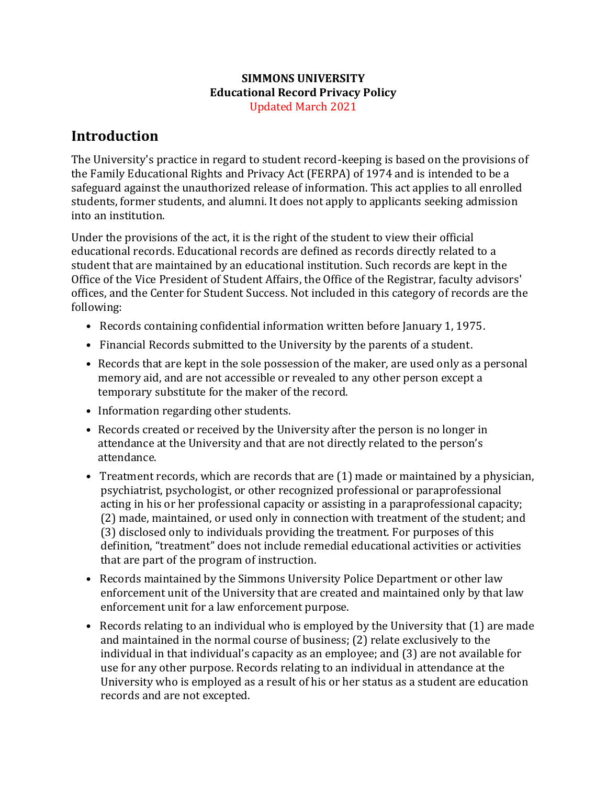#### **SIMMONS UNIVERSITY Educational Record Privacy Policy** Updated March 2021

### **Introduction**

The University's practice in regard to student record-keeping is based on the provisions of the Family Educational Rights and Privacy Act (FERPA) of 1974 and is intended to be a safeguard against the unauthorized release of information. This act applies to all enrolled students, former students, and alumni. It does not apply to applicants seeking admission into an institution.

Under the provisions of the act, it is the right of the student to view their official educational records. Educational records are defined as records directly related to a student that are maintained by an educational institution. Such records are kept in the Office of the Vice President of Student Affairs, the Office of the Registrar, faculty advisors' offices, and the Center for Student Success. Not included in this category of records are the following:

- Records containing confidential information written before January 1, 1975.
- Financial Records submitted to the University by the parents of a student.
- Records that are kept in the sole possession of the maker, are used only as a personal memory aid, and are not accessible or revealed to any other person except a temporary substitute for the maker of the record.
- Information regarding other students.
- Records created or received by the University after the person is no longer in attendance at the University and that are not directly related to the person's attendance.
- Treatment records, which are records that are (1) made or maintained by a physician, psychiatrist, psychologist, or other recognized professional or paraprofessional acting in his or her professional capacity or assisting in a paraprofessional capacity; (2) made, maintained, or used only in connection with treatment of the student; and (3) disclosed only to individuals providing the treatment. For purposes of this definition, "treatment" does not include remedial educational activities or activities that are part of the program of instruction.
- Records maintained by the Simmons University Police Department or other law enforcement unit of the University that are created and maintained only by that law enforcement unit for a law enforcement purpose.
- Records relating to an individual who is employed by the University that (1) are made and maintained in the normal course of business; (2) relate exclusively to the individual in that individual's capacity as an employee; and (3) are not available for use for any other purpose. Records relating to an individual in attendance at the University who is employed as a result of his or her status as a student are education records and are not excepted.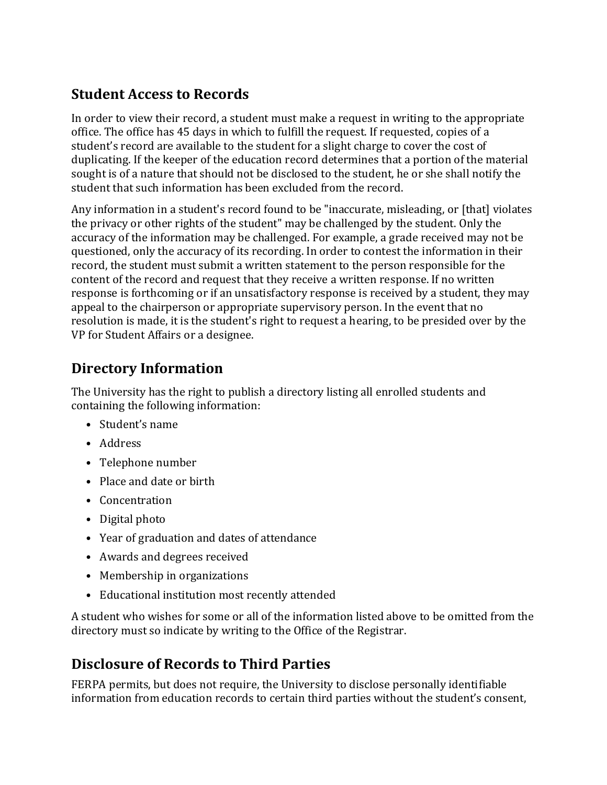# **Student Access to Records**

In order to view their record, a student must make a request in writing to the appropriate office. The office has 45 days in which to fulfill the request. If requested, copies of a student's record are available to the student for a slight charge to cover the cost of duplicating. If the keeper of the education record determines that a portion of the material sought is of a nature that should not be disclosed to the student, he or she shall notify the student that such information has been excluded from the record.

Any information in a student's record found to be "inaccurate, misleading, or [that] violates the privacy or other rights of the student" may be challenged by the student. Only the accuracy of the information may be challenged. For example, a grade received may not be questioned, only the accuracy of its recording. In order to contest the information in their record, the student must submit a written statement to the person responsible for the content of the record and request that they receive a written response. If no written response is forthcoming or if an unsatisfactory response is received by a student, they may appeal to the chairperson or appropriate supervisory person. In the event that no resolution is made, it is the student's right to request a hearing, to be presided over by the VP for Student Affairs or a designee.

# **Directory Information**

The University has the right to publish a directory listing all enrolled students and containing the following information:

- Student's name
- Address
- Telephone number
- Place and date or birth
- Concentration
- Digital photo
- Year of graduation and dates of attendance
- Awards and degrees received
- Membership in organizations
- Educational institution most recently attended

A student who wishes for some or all of the information listed above to be omitted from the directory must so indicate by writing to the Office of the Registrar.

# **Disclosure of Records to Third Parties**

FERPA permits, but does not require, the University to disclose personally identifiable information from education records to certain third parties without the student's consent,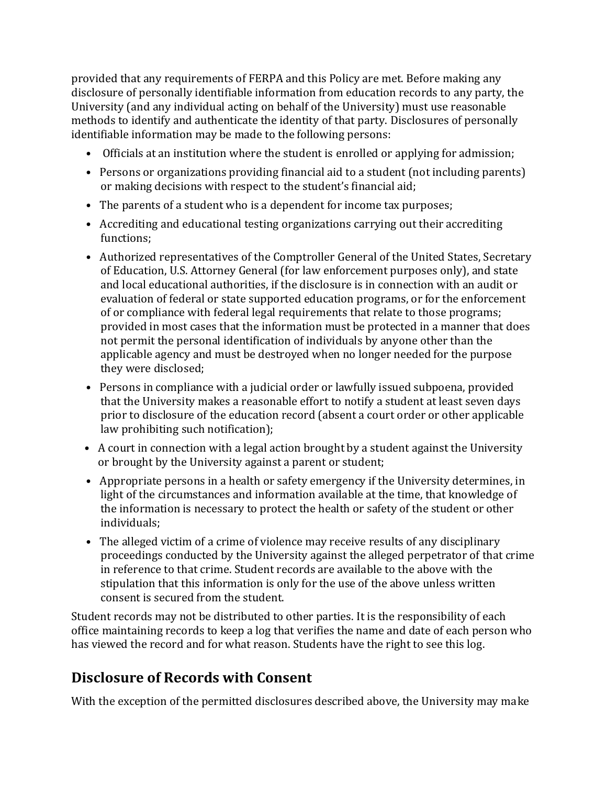provided that any requirements of FERPA and this Policy are met. Before making any disclosure of personally identifiable information from education records to any party, the University (and any individual acting on behalf of the University) must use reasonable methods to identify and authenticate the identity of that party. Disclosures of personally identifiable information may be made to the following persons:

- Officials at an institution where the student is enrolled or applying for admission;
- Persons or organizations providing financial aid to a student (not including parents) or making decisions with respect to the student's financial aid;
- The parents of a student who is a dependent for income tax purposes;
- Accrediting and educational testing organizations carrying out their accrediting functions;
- Authorized representatives of the Comptroller General of the United States, Secretary of Education, U.S. Attorney General (for law enforcement purposes only), and state and local educational authorities, if the disclosure is in connection with an audit or evaluation of federal or state supported education programs, or for the enforcement of or compliance with federal legal requirements that relate to those programs; provided in most cases that the information must be protected in a manner that does not permit the personal identification of individuals by anyone other than the applicable agency and must be destroyed when no longer needed for the purpose they were disclosed;
- Persons in compliance with a judicial order or lawfully issued subpoena, provided that the University makes a reasonable effort to notify a student at least seven days prior to disclosure of the education record (absent a court order or other applicable law prohibiting such notification);
- A court in connection with a legal action brought by a student against the University or brought by the University against a parent or student;
- Appropriate persons in a health or safety emergency if the University determines, in light of the circumstances and information available at the time, that knowledge of the information is necessary to protect the health or safety of the student or other individuals;
- The alleged victim of a crime of violence may receive results of any disciplinary proceedings conducted by the University against the alleged perpetrator of that crime in reference to that crime. Student records are available to the above with the stipulation that this information is only for the use of the above unless written consent is secured from the student.

Student records may not be distributed to other parties. It is the responsibility of each office maintaining records to keep a log that verifies the name and date of each person who has viewed the record and for what reason. Students have the right to see this log.

# **Disclosure of Records with Consent**

With the exception of the permitted disclosures described above, the University may make